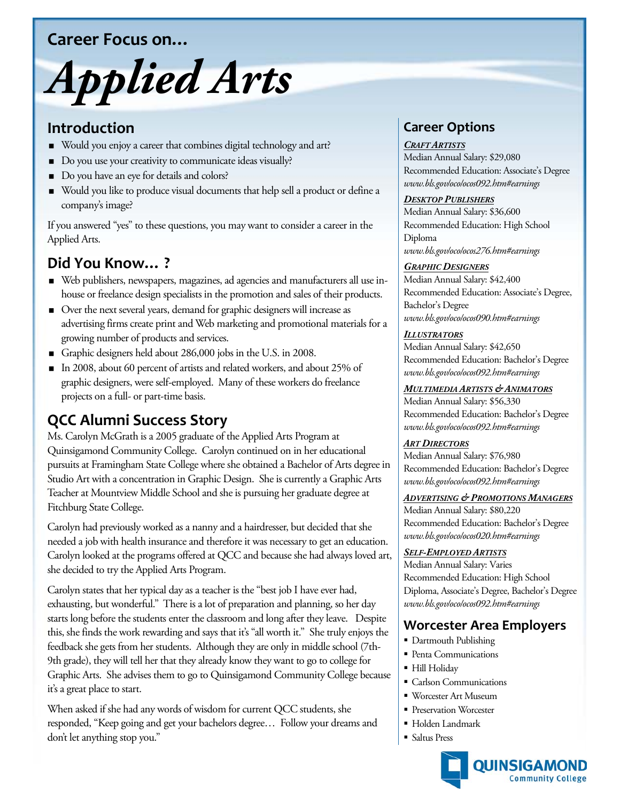## **Career Focus on…**

# *Applied Arts*

## **Introduction**

- Would you enjoy a career that combines digital technology and art?
- Do you use your creativity to communicate ideas visually?
- Do you have an eye for details and colors?
- Would you like to produce visual documents that help sell a product or define a company's image?

If you answered "yes" to these questions, you may want to consider a career in the Applied Arts.

# **Did You Know… ?**

- Web publishers, newspapers, magazines, ad agencies and manufacturers all use inhouse or freelance design specialists in the promotion and sales of their products.
- Over the next several years, demand for graphic designers will increase as advertising firms create print and Web marketing and promotional materials for a growing number of products and services.
- Graphic designers held about 286,000 jobs in the U.S. in 2008.
- In 2008, about 60 percent of artists and related workers, and about 25% of graphic designers, were self-employed. Many of these workers do freelance projects on a full- or part-time basis.

# **QCC Alumni Success Story**

Ms. Carolyn McGrath is a 2005 graduate of the Applied Arts Program at Quinsigamond Community College. Carolyn continued on in her educational pursuits at Framingham State College where she obtained a Bachelor of Arts degree in Studio Art with a concentration in Graphic Design. She is currently a Graphic Arts Teacher at Mountview Middle School and she is pursuing her graduate degree at Fitchburg State College.

Carolyn had previously worked as a nanny and a hairdresser, but decided that she needed a job with health insurance and therefore it was necessary to get an education. Carolyn looked at the programs offered at QCC and because she had always loved art, she decided to try the Applied Arts Program.

Carolyn states that her typical day as a teacher is the "best job I have ever had, exhausting, but wonderful." There is a lot of preparation and planning, so her day starts long before the students enter the classroom and long after they leave. Despite this, she finds the work rewarding and says that it's "all worth it." She truly enjoys the feedback she gets from her students. Although they are only in middle school (7th-9th grade), they will tell her that they already know they want to go to college for Graphic Arts. She advises them to go to Quinsigamond Community College because it's a great place to start.

When asked if she had any words of wisdom for current QCC students, she responded, "Keep going and get your bachelors degree… Follow your dreams and don't let anything stop you."

# **Career Options**

#### *CRAFT ARTISTS*

Median Annual Salary: \$29,080 Recommended Education: Associate's Degree *www.bls.gov/oco/ocos092.htm#earnings*

#### *DESKTOP PUBLISHERS*

Median Annual Salary: \$36,600 Recommended Education: High School Diploma *www.bls.gov/oco/ocos276.htm#earnings*

#### *GRAPHIC DESIGNERS*

Median Annual Salary: \$42,400 Recommended Education: Associate's Degree, Bachelor's Degree *www.bls.gov/oco/ocos090.htm#earnings*

#### *ILLUSTRATORS*

Median Annual Salary: \$42,650 Recommended Education: Bachelor's Degree *www.bls.gov/oco/ocos092.htm#earnings*

#### *MULTIMEDIA ARTISTS & ANIMATORS*

Median Annual Salary: \$56,330 Recommended Education: Bachelor's Degree *www.bls.gov/oco/ocos092.htm#earnings*

#### *ART DIRECTORS*

Median Annual Salary: \$76,980 Recommended Education: Bachelor's Degree *www.bls.gov/oco/ocos092.htm#earnings*

#### *ADVERTISING & PROMOTIONS MANAGERS*

Median Annual Salary: \$80,220 Recommended Education: Bachelor's Degree *www.bls.gov/oco/ocos020.htm#earnings*

#### *SELF-EMPLOYED ARTISTS*

Median Annual Salary: Varies Recommended Education: High School Diploma, Associate's Degree, Bachelor's Degree *www.bls.gov/oco/ocos092.htm#earnings*

## **Worcester Area Employers**

- Dartmouth Publishing
- **Penta Communications**
- Hill Holiday
- Carlson Communications
- Worcester Art Museum
- **Preservation Worcester**
- Holden Landmark
- Saltus Press